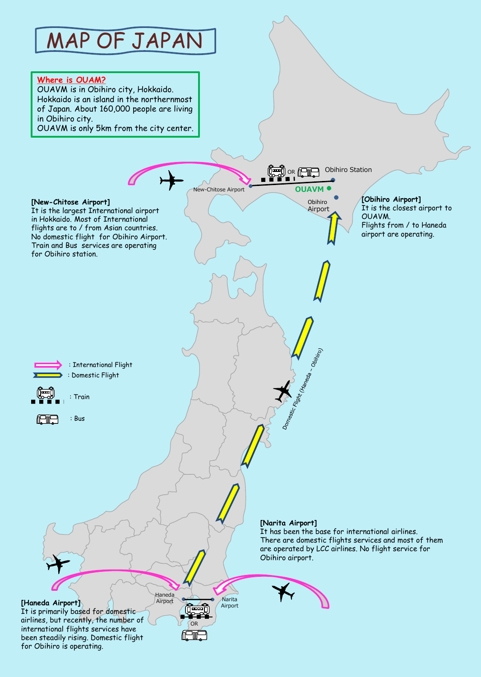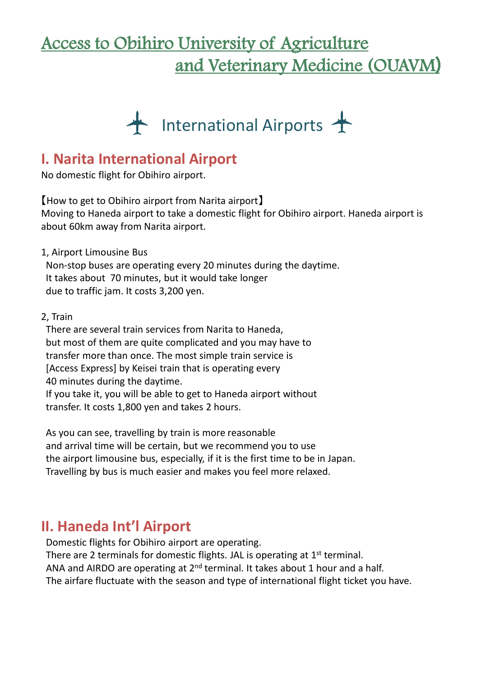# Access to Obihiro University of Agriculture and Veterinary Medicine (OUAVM)



### **I. Narita International Airport**

No domestic flight for Obihiro airport.

【How to get to Obihiro airport from Narita airport】 Moving to Haneda airport to take a domestic flight for Obihiro airport. Haneda airport is about 60km away from Narita airport.

1, Airport Limousine Bus

Non-stop buses are operating every 20 minutes during the daytime. It takes about 70 minutes, but it would take longer due to traffic jam. It costs 3,200 yen.

2, Train

There are several train services from Narita to Haneda, but most of them are quite complicated and you may have to transfer more than once. The most simple train service is [Access Express] by Keisei train that is operating every 40 minutes during the daytime. If you take it, you will be able to get to Haneda airport without transfer. It costs 1,800 yen and takes 2 hours.

As you can see, travelling by train is more reasonable and arrival time will be certain, but we recommend you to use the airport limousine bus, especially, if it is the first time to be in Japan. Travelling by bus is much easier and makes you feel more relaxed.

### **II. Haneda Int'l Airport**

Domestic flights for Obihiro airport are operating.

There are 2 terminals for domestic flights. JAL is operating at  $1<sup>st</sup>$  terminal. ANA and AIRDO are operating at  $2^{nd}$  terminal. It takes about 1 hour and a half. The airfare fluctuate with the season and type of international flight ticket you have.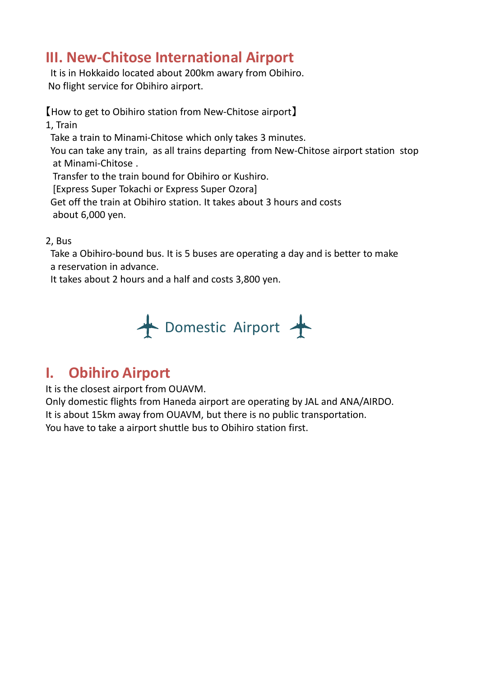# **III. New-Chitose International Airport**

It is in Hokkaido located about 200km awary from Obihiro. No flight service for Obihiro airport.

【How to get to Obihiro station from New-Chitose airport】 1, Train

Take a train to Minami-Chitose which only takes 3 minutes.

You can take any train, as all trains departing from New-Chitose airport station stop at Minami-Chitose .

Transfer to the train bound for Obihiro or Kushiro.

[Express Super Tokachi or Express Super Ozora]

Get off the train at Obihiro station. It takes about 3 hours and costs about 6,000 yen.

#### 2, Bus

Take a Obihiro-bound bus. It is 5 buses are operating a day and is better to make a reservation in advance.

It takes about 2 hours and a half and costs 3,800 yen.



# **I. Obihiro Airport**

It is the closest airport from OUAVM.

Only domestic flights from Haneda airport are operating by JAL and ANA/AIRDO. It is about 15km away from OUAVM, but there is no public transportation. You have to take a airport shuttle bus to Obihiro station first.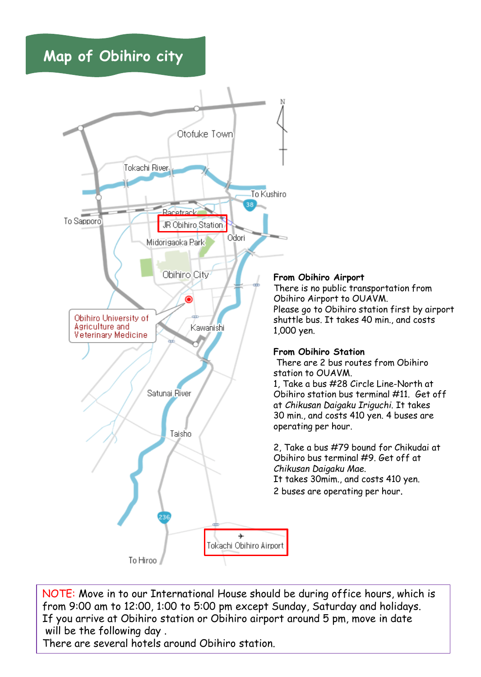**Map of Obihiro city**



NOTE: Move in to our International House should be during office hours, which is from 9:00 am to 12:00, 1:00 to 5:00 pm except Sunday, Saturday and holidays. If you arrive at Obihiro station or Obihiro airport around 5 pm, move in date will be the following day .

There are several hotels around Obihiro station.